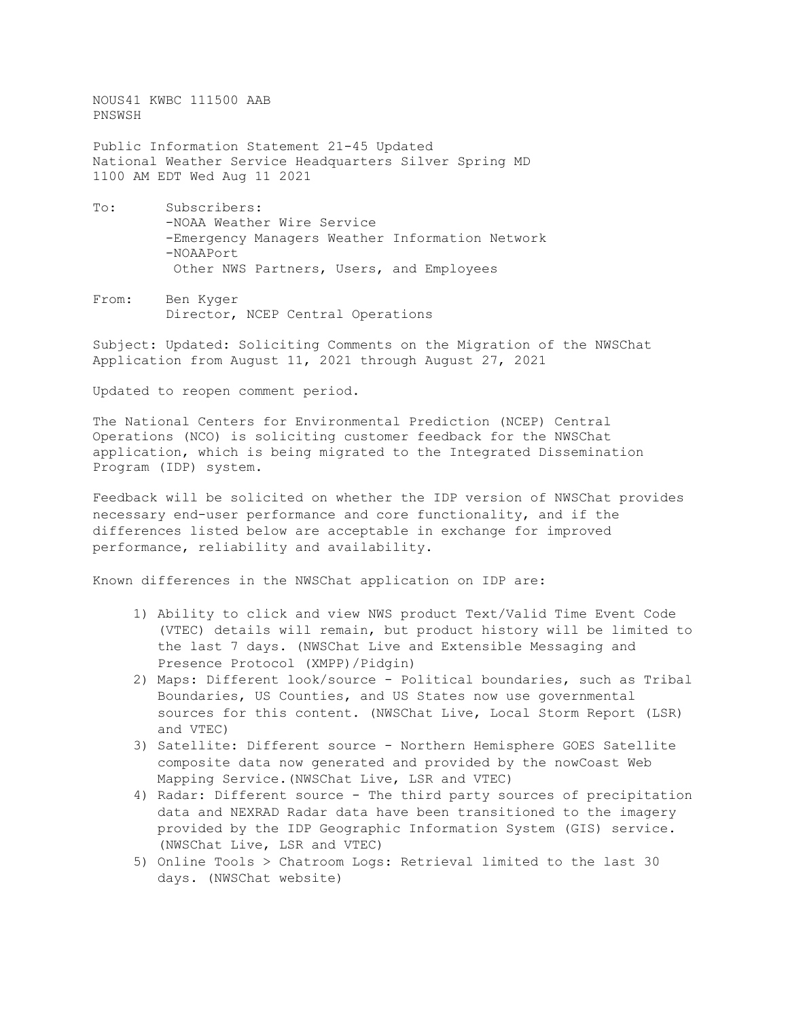NOUS41 KWBC 111500 AAB PNSWSH

Public Information Statement 21-45 Updated National Weather Service Headquarters Silver Spring MD 1100 AM EDT Wed Aug 11 2021

- To: Subscribers: -NOAA Weather Wire Service -Emergency Managers Weather Information Network -NOAAPort Other NWS Partners, Users, and Employees
- From: Ben Kyger Director, NCEP Central Operations

Subject: Updated: Soliciting Comments on the Migration of the NWSChat Application from August 11, 2021 through August 27, 2021

Updated to reopen comment period.

The National Centers for Environmental Prediction (NCEP) Central Operations (NCO) is soliciting customer feedback for the NWSChat application, which is being migrated to the Integrated Dissemination Program (IDP) system.

Feedback will be solicited on whether the IDP version of NWSChat provides necessary end-user performance and core functionality, and if the differences listed below are acceptable in exchange for improved performance, reliability and availability.

Known differences in the NWSChat application on IDP are:

- 1) Ability to click and view NWS product Text/Valid Time Event Code (VTEC) details will remain, but product history will be limited to the last 7 days. (NWSChat Live and Extensible Messaging and Presence Protocol (XMPP)/Pidgin)
- 2) Maps: Different look/source Political boundaries, such as Tribal Boundaries, US Counties, and US States now use governmental sources for this content. (NWSChat Live, Local Storm Report (LSR) and VTEC)
- 3) Satellite: Different source Northern Hemisphere GOES Satellite composite data now generated and provided by the nowCoast Web Mapping Service.(NWSChat Live, LSR and VTEC)
- 4) Radar: Different source The third party sources of precipitation data and NEXRAD Radar data have been transitioned to the imagery provided by the IDP Geographic Information System (GIS) service. (NWSChat Live, LSR and VTEC)
- 5) Online Tools > Chatroom Logs: Retrieval limited to the last 30 days. (NWSChat website)